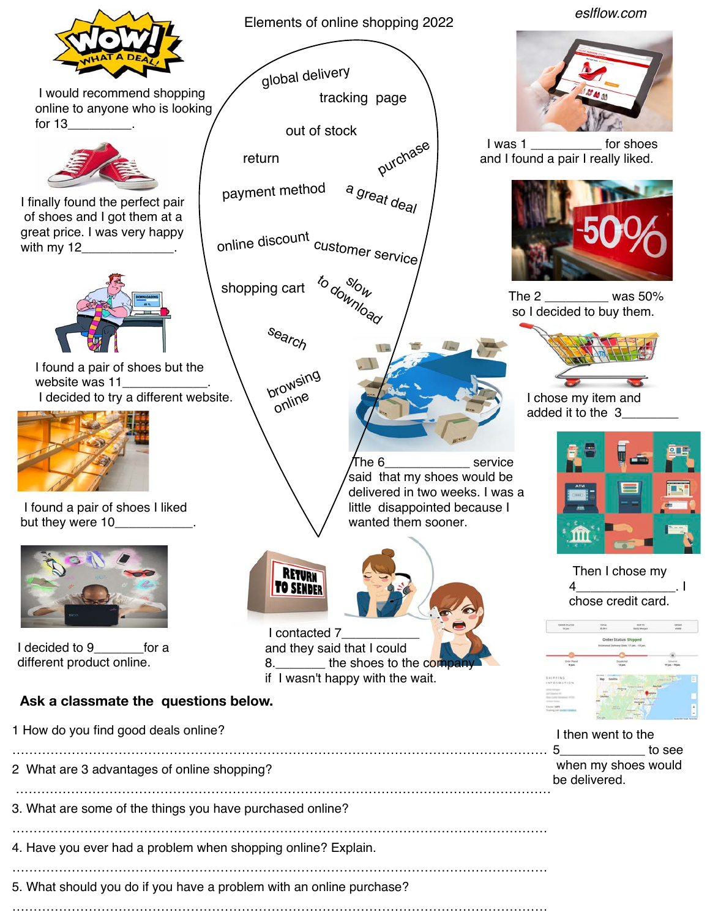

………………………………………………………………………………………………………………